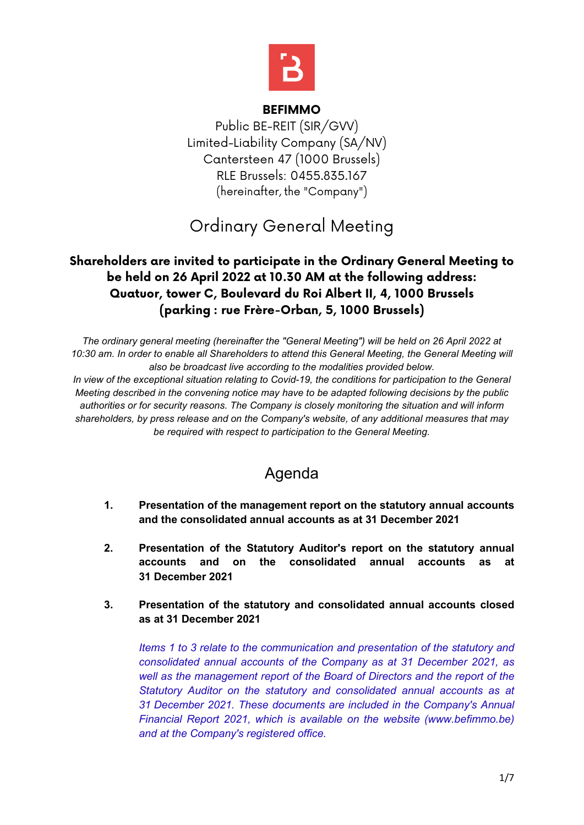

#### **BEFIMMO**

Public BE-REIT (SIR/GVV) Limited-Liability Company (SA/NV) Cantersteen 47 (1000 Brussels) RLE Brussels: 0455.835.167 (hereinafter, the "Company")

# Ordinary General Meeting

### **Shareholders are invited to participate in the Ordinary General Meeting to be held on 26 April 2022 at 10.30 AM at the following address: Quatuor, tower C, Boulevard du Roi Albert II, 4, 1000 Brussels (parking : rue Frère-Orban, 5, 1000 Brussels)**

*The ordinary general meeting (hereinafter the "General Meeting") will be held on 26 April 2022 at 10:30 am. In order to enable all Shareholders to attend this General Meeting, the General Meeting will also be broadcast live according to the modalities provided below. In view of the exceptional situation relating to Covid-19, the conditions for participation to the General Meeting described in the convening notice may have to be adapted following decisions by the public authorities or for security reasons. The Company is closely monitoring the situation and will inform shareholders, by press release and on the Company's website, of any additional measures that may be required with respect to participation to the General Meeting.*

## Agenda

- **1. Presentation of the management report on the statutory annual accounts and the consolidated annual accounts as at 31 December 2021**
- **2. Presentation of the Statutory Auditor's report on the statutory annual accounts and on the consolidated annual accounts as at 31 December 2021**
- **3. Presentation of the statutory and consolidated annual accounts closed as at 31 December 2021**

*Items 1 to 3 relate to the communication and presentation of the statutory and consolidated annual accounts of the Company as at 31 December 2021, as well as the management report of the Board of Directors and the report of the Statutory Auditor on the statutory and consolidated annual accounts as at 31 December 2021. These documents are included in the Company's Annual Financial Report 2021, which is available on the website (www.befimmo.be) and at the Company's registered office.*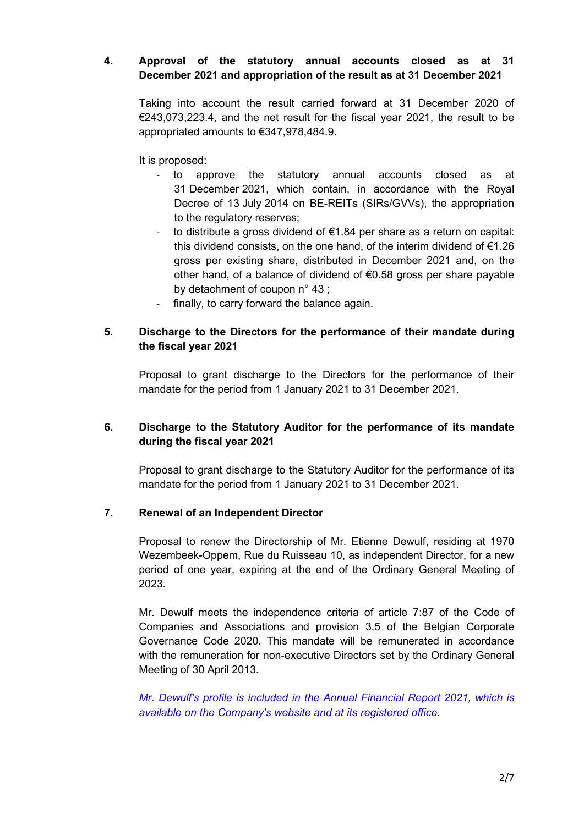#### **4. Approval of the statutory annual accounts closed as at 31 December 2021 and appropriation of the result as at 31 December 2021**

Taking into account the result carried forward at 31 December 2020 of  $\epsilon$ 243,073,223.4, and the net result for the fiscal year 2021, the result to be appropriated amounts to €347,978,484.9.

It is proposed:

- to approve the statutory annual accounts closed as at 31 December 2021, which contain, in accordance with the Royal Decree of 13 July 2014 on BE-REITs (SIRs/GVVs), the appropriation to the regulatory reserves;
- to distribute a gross dividend of €1.84 per share as a return on capital: this dividend consists, on the one hand, of the interim dividend of €1.26 gross per existing share, distributed in December 2021 and, on the other hand, of a balance of dividend of €0.58 gross per share payable by detachment of coupon n° 43 ;
- finally, to carry forward the balance again.

#### **5. Discharge to the Directors for the performance of their mandate during the fiscal year 2021**

Proposal to grant discharge to the Directors for the performance of their mandate for the period from 1 January 2021 to 31 December 2021.

#### **6. Discharge to the Statutory Auditor for the performance of its mandate during the fiscal year 2021**

Proposal to grant discharge to the Statutory Auditor for the performance of its mandate for the period from 1 January 2021 to 31 December 2021.

#### **7. Renewal of an Independent Director**

Proposal to renew the Directorship of Mr. Etienne Dewulf, residing at 1970 Wezembeek-Oppem, Rue du Ruisseau 10, as independent Director, for a new period of one year, expiring at the end of the Ordinary General Meeting of 2023.

Mr. Dewulf meets the independence criteria of article 7:87 of the Code of Companies and Associations and provision 3.5 of the Belgian Corporate Governance Code 2020. This mandate will be remunerated in accordance with the remuneration for non-executive Directors set by the Ordinary General Meeting of 30 April 2013.

*Mr. Dewulf's profile is included in the Annual Financial Report 2021, which is available on the Company's website and at its registered office.*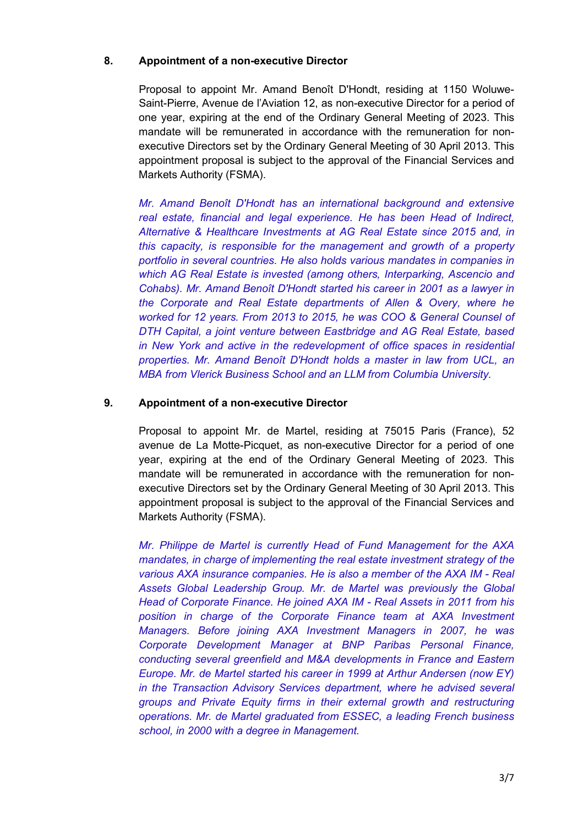#### **8. Appointment of a non-executive Director**

Proposal to appoint Mr. Amand Benoît D'Hondt, residing at 1150 Woluwe-Saint-Pierre, Avenue de l'Aviation 12, as non-executive Director for a period of one year, expiring at the end of the Ordinary General Meeting of 2023. This mandate will be remunerated in accordance with the remuneration for nonexecutive Directors set by the Ordinary General Meeting of 30 April 2013. This appointment proposal is subject to the approval of the Financial Services and Markets Authority (FSMA).

*Mr. Amand Benoît D'Hondt has an international background and extensive real estate, financial and legal experience. He has been Head of Indirect, Alternative & Healthcare Investments at AG Real Estate since 2015 and, in this capacity, is responsible for the management and growth of a property portfolio in several countries. He also holds various mandates in companies in which AG Real Estate is invested (among others, Interparking, Ascencio and Cohabs). Mr. Amand Benoît D'Hondt started his career in 2001 as a lawyer in the Corporate and Real Estate departments of Allen & Overy, where he worked for 12 years. From 2013 to 2015, he was COO & General Counsel of DTH Capital, a joint venture between Eastbridge and AG Real Estate, based in New York and active in the redevelopment of office spaces in residential properties. Mr. Amand Benoît D'Hondt holds a master in law from UCL, an MBA from Vlerick Business School and an LLM from Columbia University.*

#### **9. Appointment of a non-executive Director**

Proposal to appoint Mr. de Martel, residing at 75015 Paris (France), 52 avenue de La Motte-Picquet, as non-executive Director for a period of one year, expiring at the end of the Ordinary General Meeting of 2023. This mandate will be remunerated in accordance with the remuneration for nonexecutive Directors set by the Ordinary General Meeting of 30 April 2013. This appointment proposal is subject to the approval of the Financial Services and Markets Authority (FSMA).

*Mr. Philippe de Martel is currently Head of Fund Management for the AXA mandates, in charge of implementing the real estate investment strategy of the various AXA insurance companies. He is also a member of the AXA IM - Real Assets Global Leadership Group. Mr. de Martel was previously the Global Head of Corporate Finance. He joined AXA IM - Real Assets in 2011 from his position in charge of the Corporate Finance team at AXA Investment Managers. Before joining AXA Investment Managers in 2007, he was Corporate Development Manager at BNP Paribas Personal Finance, conducting several greenfield and M&A developments in France and Eastern Europe. Mr. de Martel started his career in 1999 at Arthur Andersen (now EY) in the Transaction Advisory Services department, where he advised several groups and Private Equity firms in their external growth and restructuring operations. Mr. de Martel graduated from ESSEC, a leading French business school, in 2000 with a degree in Management.*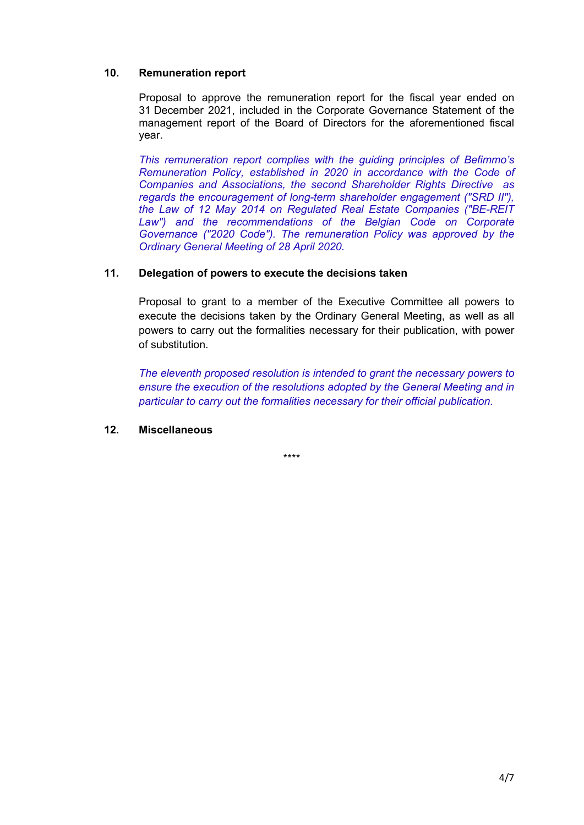#### **10. Remuneration report**

Proposal to approve the remuneration report for the fiscal year ended on 31 December 2021, included in the Corporate Governance Statement of the management report of the Board of Directors for the aforementioned fiscal year.

*This remuneration report complies with the guiding principles of Befimmo's Remuneration Policy, established in 2020 in accordance with the Code of Companies and Associations, the second Shareholder Rights Directive as regards the encouragement of long-term shareholder engagement ("SRD II"), the Law of 12 May 2014 on Regulated Real Estate Companies ("BE-REIT Law") and the recommendations of the Belgian Code on Corporate Governance ("2020 Code"). The remuneration Policy was approved by the Ordinary General Meeting of 28 April 2020.*

#### **11. Delegation of powers to execute the decisions taken**

Proposal to grant to a member of the Executive Committee all powers to execute the decisions taken by the Ordinary General Meeting, as well as all powers to carry out the formalities necessary for their publication, with power of substitution.

*The eleventh proposed resolution is intended to grant the necessary powers to ensure the execution of the resolutions adopted by the General Meeting and in particular to carry out the formalities necessary for their official publication.*

#### **12. Miscellaneous**

\*\*\*\*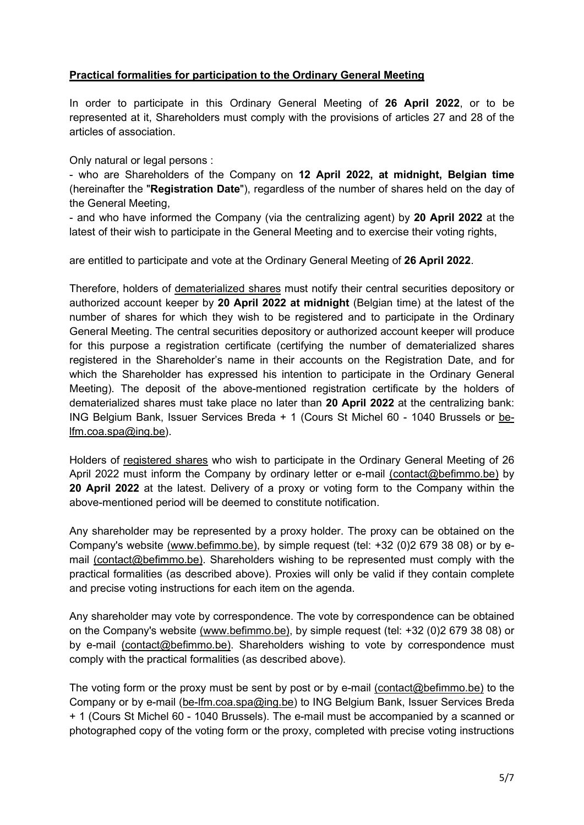#### **Practical formalities for participation to the Ordinary General Meeting**

In order to participate in this Ordinary General Meeting of **26 April 2022**, or to be represented at it, Shareholders must comply with the provisions of articles 27 and 28 of the articles of association.

Only natural or legal persons :

- who are Shareholders of the Company on **12 April 2022, at midnight, Belgian time** (hereinafter the "**Registration Date**"), regardless of the number of shares held on the day of the General Meeting,

- and who have informed the Company (via the centralizing agent) by **20 April 2022** at the latest of their wish to participate in the General Meeting and to exercise their voting rights,

are entitled to participate and vote at the Ordinary General Meeting of **26 April 2022**.

Therefore, holders of dematerialized shares must notify their central securities depository or authorized account keeper by **20 April 2022 at midnight** (Belgian time) at the latest of the number of shares for which they wish to be registered and to participate in the Ordinary General Meeting. The central securities depository or authorized account keeper will produce for this purpose a registration certificate (certifying the number of dematerialized shares registered in the Shareholder's name in their accounts on the Registration Date, and for which the Shareholder has expressed his intention to participate in the Ordinary General Meeting). The deposit of the above-mentioned registration certificate by the holders of dematerialized shares must take place no later than **20 April 2022** at the centralizing bank: ING Belgium Bank, Issuer Services Breda + 1 (Cours St Michel 60 - 1040 Brussels or [be](mailto:be-lfm.coa.spa@ing.be)[lfm.coa.spa@ing.be\)](mailto:be-lfm.coa.spa@ing.be).

Holders of registered shares who wish to participate in the Ordinary General Meeting of 26 April 2022 must inform the Company by ordinary letter or e-mail (contact@befimmo.be) by **20 April 2022** at the latest. Delivery of a proxy or voting form to the Company within the above-mentioned period will be deemed to constitute notification.

Any shareholder may be represented by a proxy holder. The proxy can be obtained on the Company's website (www.befimmo.be), by simple request (tel: +32 (0)2 679 38 08) or by email (contact@befimmo.be). Shareholders wishing to be represented must comply with the practical formalities (as described above). Proxies will only be valid if they contain complete and precise voting instructions for each item on the agenda.

Any shareholder may vote by correspondence. The vote by correspondence can be obtained on the Company's website (www.befimmo.be), by simple request (tel: +32 (0)2 679 38 08) or by e-mail (contact@befimmo.be). Shareholders wishing to vote by correspondence must comply with the practical formalities (as described above).

The voting form or the proxy must be sent by post or by e-mail (contact@befimmo.be) to the Company or by e-mail (be-lfm.coa.spa@ing.be) to ING Belgium Bank, Issuer Services Breda + 1 (Cours St Michel 60 - 1040 Brussels). The e-mail must be accompanied by a scanned or photographed copy of the voting form or the proxy, completed with precise voting instructions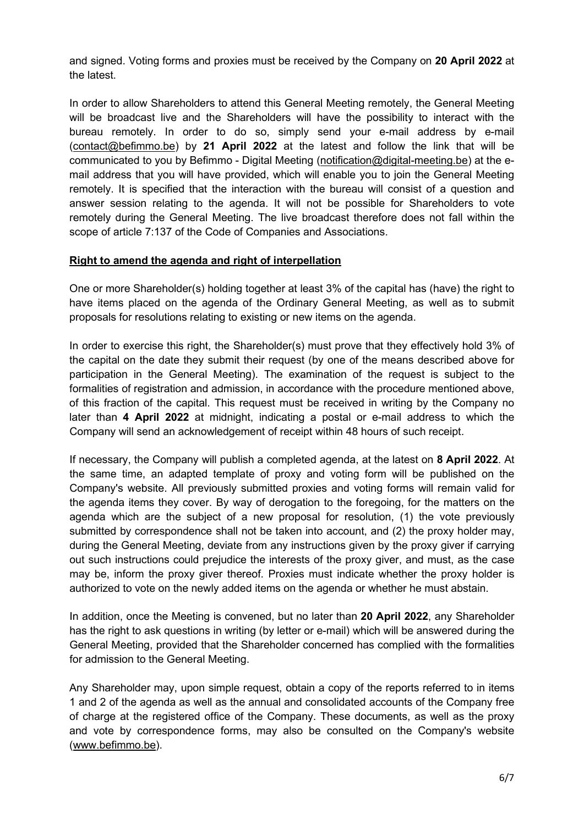and signed. Voting forms and proxies must be received by the Company on **20 April 2022** at the latest.

In order to allow Shareholders to attend this General Meeting remotely, the General Meeting will be broadcast live and the Shareholders will have the possibility to interact with the bureau remotely. In order to do so, simply send your e-mail address by e-mail (contact@befimmo.be) by **21 April 2022** at the latest and follow the link that will be communicated to you by Befimmo - Digital Meeting (notification@digital-meeting.be) at the email address that you will have provided, which will enable you to join the General Meeting remotely. It is specified that the interaction with the bureau will consist of a question and answer session relating to the agenda. It will not be possible for Shareholders to vote remotely during the General Meeting. The live broadcast therefore does not fall within the scope of article 7:137 of the Code of Companies and Associations.

#### **Right to amend the agenda and right of interpellation**

One or more Shareholder(s) holding together at least 3% of the capital has (have) the right to have items placed on the agenda of the Ordinary General Meeting, as well as to submit proposals for resolutions relating to existing or new items on the agenda.

In order to exercise this right, the Shareholder(s) must prove that they effectively hold 3% of the capital on the date they submit their request (by one of the means described above for participation in the General Meeting). The examination of the request is subject to the formalities of registration and admission, in accordance with the procedure mentioned above, of this fraction of the capital. This request must be received in writing by the Company no later than **4 April 2022** at midnight, indicating a postal or e-mail address to which the Company will send an acknowledgement of receipt within 48 hours of such receipt.

If necessary, the Company will publish a completed agenda, at the latest on **8 April 2022**. At the same time, an adapted template of proxy and voting form will be published on the Company's website. All previously submitted proxies and voting forms will remain valid for the agenda items they cover. By way of derogation to the foregoing, for the matters on the agenda which are the subject of a new proposal for resolution, (1) the vote previously submitted by correspondence shall not be taken into account, and (2) the proxy holder may, during the General Meeting, deviate from any instructions given by the proxy giver if carrying out such instructions could prejudice the interests of the proxy giver, and must, as the case may be, inform the proxy giver thereof. Proxies must indicate whether the proxy holder is authorized to vote on the newly added items on the agenda or whether he must abstain.

In addition, once the Meeting is convened, but no later than **20 April 2022**, any Shareholder has the right to ask questions in writing (by letter or e-mail) which will be answered during the General Meeting, provided that the Shareholder concerned has complied with the formalities for admission to the General Meeting.

Any Shareholder may, upon simple request, obtain a copy of the reports referred to in items 1 and 2 of the agenda as well as the annual and consolidated accounts of the Company free of charge at the registered office of the Company. These documents, as well as the proxy and vote by correspondence forms, may also be consulted on the Company's website (www.befimmo.be).